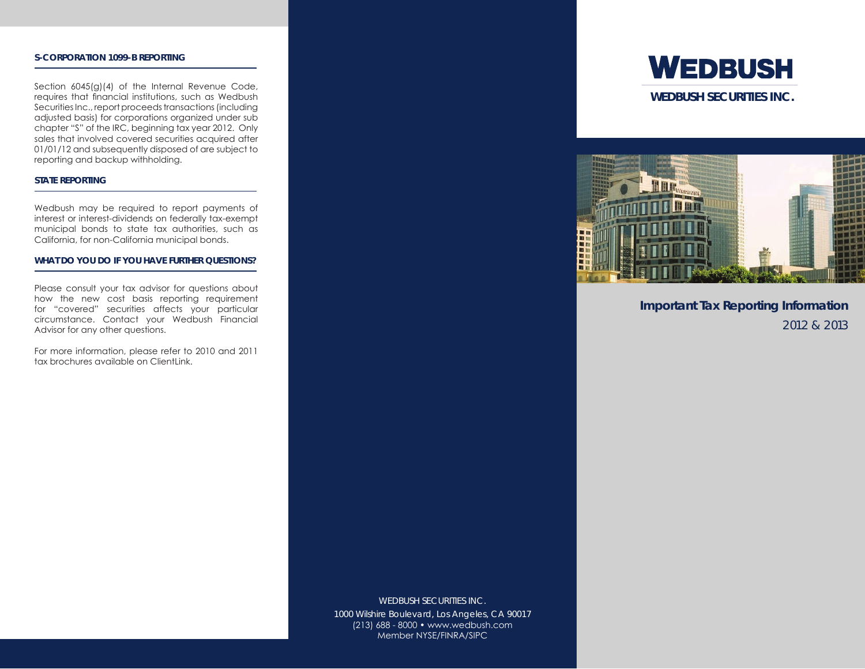### **S-CORPORATION 1099-B REPORTING**

Section 6045(g)(4) of the Internal Revenue Code, requires that financial institutions, such as Wedbush Securities Inc., report proceeds transactions (including adjusted basis) for corporations organized under sub chapter "S" of the IRC, beginning tax year 2012. Only sales that involved covered securities acquired after 01/01/12 and subsequently disposed of are subject to reporting and backup withholding.

## **STATE REPORTING**

Wedbush may be required to report payments of interest or interest-dividends on federally tax-exempt municipal bonds to state tax authorities, such as California, for non-California municipal bonds.

### **WHAT DO YOU DO IF YOU HAVE FURTHER QUESTIONS?**

Please consult your tax advisor for questions about how the new cost basis reporting requirement for "covered" securities affects your particular circumstance. Contact your Wedbush Financial Advisor for any other questions.

For more information, please refer to 2010 and 2011 tax brochures available on ClientLink.

> WEDBUSH SECURITIES INC. 1000 Wilshire Boulevard, Los Angeles, CA 90017 (213) 688 - 8000 • www.wedbush.com Member NYSE/FINRA/SIPC





**Important Tax Reporting Information** 2012 & 2013